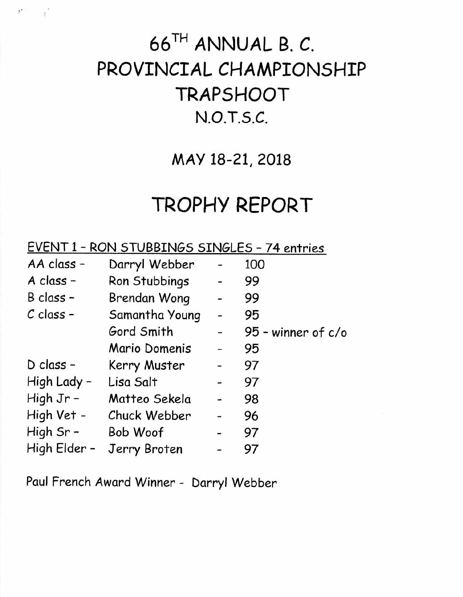# $66^{\text{TH}}$  ANNUAL B. C. PROVINCIAL CHAMPIONSHIP TRAPSHOOT N.O.T.S.C.

### MAY 18-21, 2018

## TROPHY REPORT

|  |  |  |  |  |  |  |  |  |  | EVENT 1 - RON STUBBINGS SINGLES - 74 entries |  |
|--|--|--|--|--|--|--|--|--|--|----------------------------------------------|--|
|  |  |  |  |  |  |  |  |  |  |                                              |  |

 $t^{\star}$  :  $\qquad \qquad t$  ,

| AA class -   | Darryl Webber  |                          | 100                    |
|--------------|----------------|--------------------------|------------------------|
| A class -    | Ron Stubbings  | $\overline{\mathcal{L}}$ | 99                     |
| $B$ class -  | Brendan Wong   |                          | 99                     |
| $C$ class -  | Samantha Young |                          | 95                     |
|              | Gord Smith     |                          | $95$ - winner of $c/o$ |
|              | Mario Domenis  |                          | 95                     |
| D class -    | Kerry Muster   |                          | 97                     |
| High Lady -  | Lisa Salt      |                          | 97                     |
| $High Jr -$  | Matteo Sekela  |                          | 98                     |
| High Vet -   | Chuck Webber   |                          | 96                     |
| High Sr-     | Bob Woof       |                          | 97                     |
| High Elder - | Jerry Broten   |                          | 97                     |

Paul French Award Winner - Darryl Webber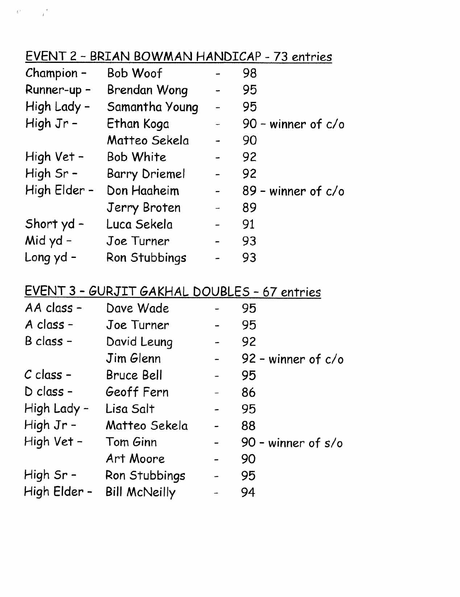#### EVENT 2 - BRIAN BOWMAN HANDICAP - 73 entries

 $C = \frac{1}{4}$ 

| Champion -   | Bob Woof             |                          | 98                     |
|--------------|----------------------|--------------------------|------------------------|
| Runner-up-   | Brendan Wong         | -                        | 95                     |
| High Lady -  | Samantha Young       | -                        | 95                     |
| High Jr -    | Ethan Koga           | $\frac{1}{2}$            | $90$ – winner of $c/o$ |
|              | Matteo Sekela        |                          | 90                     |
| High Vet -   | Bob White            |                          | 92                     |
| High Sr-     | <b>Barry Driemel</b> | -                        | 92                     |
| High Elder - | Don Haaheim          | $\overline{\phantom{a}}$ | $89$ - winner of $c/o$ |
|              | Jerry Broten         | $\frac{1}{2}$            | 89                     |
| Short yd -   | Luca Sekela          |                          | 91                     |
| Mid $yd -$   | Joe Turner           |                          | 93                     |
| Long yd -    | Ron Stubbings        |                          | 93                     |

#### EVENT 3 - eURJIT &AKHAL DOUBLES - 67 entries

| AA class -   | Dave Wade            |                          | 95                      |
|--------------|----------------------|--------------------------|-------------------------|
| A class -    | Joe Turner           |                          | 95                      |
| B class -    | David Leung          |                          | 92                      |
|              | Jim Glenn            | ¥                        | 92 - winner of $c/o$    |
| $C$ class -  | Bruce Bell           |                          | 95                      |
| D class -    | Geoff Fern           |                          | 86                      |
| High Lady -  | Lisa Salt            |                          | 95                      |
| High Jr-     | Matteo Sekela        |                          | 88                      |
| High Vet -   | Tom Ginn             | $\overline{\phantom{0}}$ | $90$ - winner of $s$ /o |
|              | Art Moore            | Ξ                        | 90                      |
| High Sr -    | Ron Stubbings        |                          | 95                      |
| High Elder - | <b>Bill McNeilly</b> |                          | 94                      |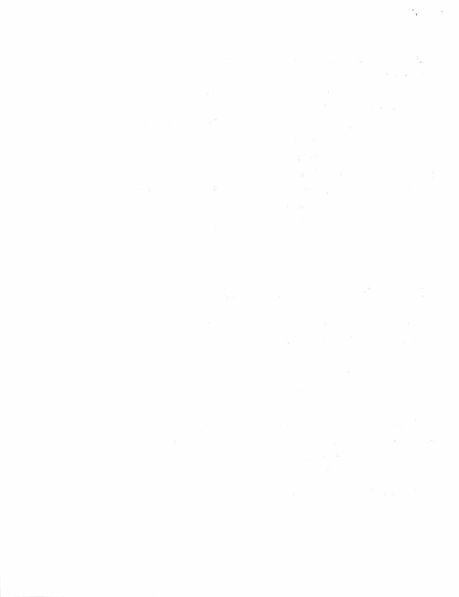$\label{eq:Ricci} \omega_{\rm{max}} = \frac{1}{\sqrt{2}} \left[ 1 - \frac{1}{2} \sum_{i=1}^{N} \frac{1}{\sqrt{2}} \left( \frac{1}{\sqrt{2}} \sum_{i=1}^{N} \frac{1}{\sqrt{2}} \right) \right] \left( \frac{1}{\sqrt{2}} \sum_{i=1}^{N} \frac{1}{\sqrt{2}} \sum_{i=1}^{N} \frac{1}{\sqrt{2}} \sum_{i=1}^{N} \frac{1}{\sqrt{2}} \sum_{i=1}^{N} \frac{1}{\sqrt{2}} \sum_{i=1}^{N} \frac{1}{\sqrt{2}} \sum_{i=1}$ 

 $\mathbb{R}^{2\times 2}$ 

 $\begin{array}{ccccccccc} \longrightarrow & \mathbb{Z} & & & & \mathbb{Z}^2 \\ \longrightarrow & \mathbb{Z} & & & & \mathbb{Z}^2 \\ \longrightarrow & \mathbb{Z} & & & & \mathbb{Z}^2 \end{array}$ 

 $\label{eq:2.1} \begin{array}{ccccccccc} \mathbb{E} & & & & & & \mathbb{E} & & & & \mathbb{E}^{2} \mathbb{E}^{2} \mathbb{E}^{2} & & & & & \mathbb{E}^{2} \mathbb{E}^{2} \mathbb{E}^{2} & & & & & \mathbb{E}^{2} \mathbb{E}^{2} \mathbb{E}^{2} & & & & & & \mathbb{E}^{2} \mathbb{E}^{2} \mathbb{E}^{2} & & & & & & \mathbb{E}^{2} \mathbb{E}^{2} \mathbb{E}^{2} & & & & & & \mathbb{E}^{2} \mathbb{E}^{2$ 

 $\label{eq:Ricci} \tilde{\mathbf{g}}_{\mathbf{g}} = \begin{bmatrix} \mathbf{g} & \mathbf{g} & \mathbf{g} \\ \mathbf{g} & \mathbf{g} & \mathbf{g} \\ \mathbf{g} & \mathbf{g} & \mathbf{g} \end{bmatrix} \mathbf{g}_{\mathbf{g}} = \begin{bmatrix} \mathbf{g} & \mathbf{g} \\ \mathbf{g} & \mathbf{g} \end{bmatrix}$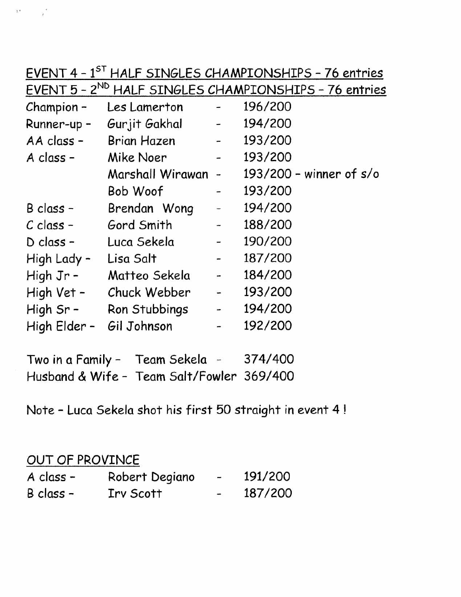|              |                    |                          | EVENT 4 - 1 <sup>5T</sup> HALF SINGLES CHAMPIONSHIPS - 76 entries |
|--------------|--------------------|--------------------------|-------------------------------------------------------------------|
|              |                    |                          | EVENT 5 - 2 <sup>ND</sup> HALF SINGLES CHAMPIONSHIPS - 76 entries |
| Champion -   | Les Lamerton       |                          | 196/200                                                           |
| Runner-up -  | Gurjit Gakhal      | $\qquad \qquad$          | 194/200                                                           |
| AA class -   | <b>Brian Hazen</b> |                          | 193/200                                                           |
| A class –    | Mike Noer          |                          | 193/200                                                           |
|              | Marshall Wirawan   |                          | 193/200 - winner of s/o                                           |
|              | Bob Woof           |                          | 193/200                                                           |
| B class -    | Brendan Wong       |                          | 194/200                                                           |
| $C$ class -  | Gord Smith         | $\bar{\phantom{a}}$      | 188/200                                                           |
| D class -    | Luca Sekela        | $\overline{\phantom{a}}$ | 190/200                                                           |
| High Lady -  | Lisa Salt          | -                        | 187/200                                                           |
| High Jr-     | Matteo Sekela      | $\ddot{\phantom{0}}$     | 184/200                                                           |
| High Vet -   | Chuck Webber       | $\overline{a}$           | 193/200                                                           |
| High Sr-     | Ron Stubbings      | à.                       | 194/200                                                           |
| High Elder - | Gil Johnson        | ÷.                       | 192/200                                                           |
|              |                    |                          |                                                                   |

| Two in a Family - | Team Sekela -            | 374/400 |
|-------------------|--------------------------|---------|
| Husband & Wife –  | Team Salt/Fowler 369/400 |         |

Note - Luca Sekela shot his first 50 straight in event 4 I

#### OUT OF PROVINCE

 $\tilde{\Sigma}$  .

| A class - | Robert Degiano | $\qquad \qquad \blacksquare$ | 191/200 |
|-----------|----------------|------------------------------|---------|
| B class - | Irv Scott      | $\overline{\phantom{a}}$     | 187/200 |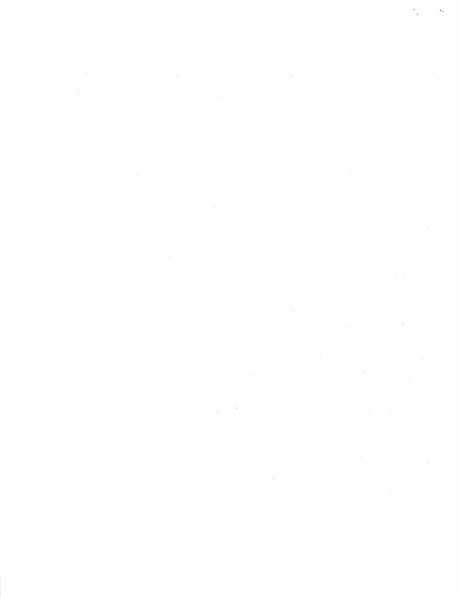$\label{eq:1.1} \begin{array}{cccccccccccccc} \mathbf{v}_1 & \cdots & \mathbf{v}_{n-1} & \cdots & \mathbf{v}_{n-1} & \cdots & \cdots & \mathbf{v}_{n-1} & \cdots & \cdots & \mathbf{v}_{n-1} \end{array}$ 

 $\label{eq:1.1} \frac{1}{\sqrt{2}}\left(\frac{1}{\sqrt{2}}\right)^{1/2} \left(1+\frac{1}{\sqrt{2}}\right)^{1/2} \left(1+\frac{1}{\sqrt{2}}\right)^{1/2} \left(1+\frac{1}{\sqrt{2}}\right)^{1/2} \left(1+\frac{1}{\sqrt{2}}\right)^{1/2}$  $\mathcal{A}^{\mathcal{A}}$  and  $\mathcal{A}^{\mathcal{A}}$  are  $\mathcal{A}^{\mathcal{A}}$  .

 $\widetilde{q}_1=-\frac{\widetilde{u}}{2} \qquad \qquad \widetilde{q}_2=-\frac{\widetilde{u}}{2} \qquad \qquad \widetilde{q}_3=-\frac{\widetilde{u}}{2} \qquad \qquad \widetilde{q}_4=-\frac{\widetilde{u}}{2} \qquad \qquad \widetilde{q}_5=-\frac{\widetilde{u}}{2} \qquad \qquad \widetilde{q}_6=-\frac{\widetilde{u}}{2} \qquad \qquad \widetilde{q}_7=-\frac{\widetilde{u}}{2} \qquad \qquad \widetilde{q}_8=-\frac{\widetilde{u}}{2} \qquad \qquad \widetilde$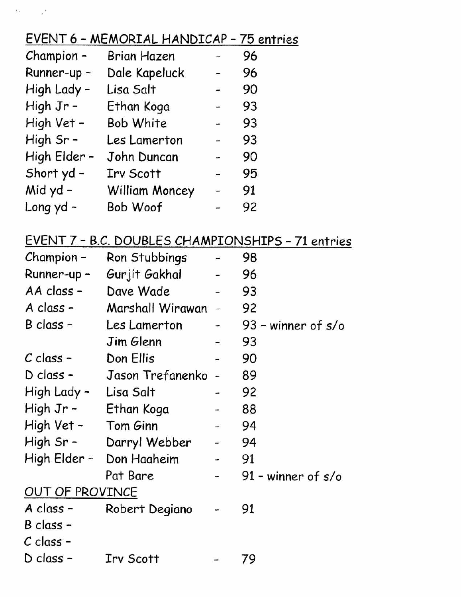#### EVENT 6 - MEMORIAL HANDICAP - 75 entries

 $\label{eq:3.1} \begin{array}{ccc} 3 \, \epsilon & \quad & \quad & \epsilon \end{array}$ 

| Brian Hazen           |                          | 96 |
|-----------------------|--------------------------|----|
| Dale Kapeluck         |                          | 96 |
| Lisa Salt             | $\overline{\phantom{a}}$ | 90 |
| Ethan Koga            |                          | 93 |
| <b>Bob White</b>      |                          | 93 |
| Les Lamerton          |                          | 93 |
| John Duncan           |                          | 90 |
| Irv Scott             | -                        | 95 |
| <b>William Moncey</b> |                          | 91 |
| Bob Woof              |                          | 92 |
|                       |                          |    |

## EVENT 7 - B.C. DOUBLES CHAMPIONSHIPS - 71 entries

| Champion -            | Ron Stubbings    |                          | 98                   |
|-----------------------|------------------|--------------------------|----------------------|
| Runner-up -           | Gurjit Gakhal    |                          | 96                   |
| AA class –            | Dave Wade        |                          | 93                   |
| A class –             | Marshall Wirawan |                          | 92                   |
| B class -             | Les Lamerton     |                          | 93 - winner of s/o   |
|                       | Jim Glenn        |                          | 93                   |
| $C$ class -           | Don Ellis        |                          | 90                   |
| D class –             | Jason Trefanenko |                          | 89                   |
| High Lady - Lisa Salt |                  |                          | 92                   |
| High Jr -             | Ethan Koga       |                          | 88                   |
| High Vet –            | Tom Ginn         | $\overline{\phantom{a}}$ | 94                   |
| High Sr -             | Darryl Webber    |                          | 94                   |
| High Elder -          | Don Haaheim      |                          | 91                   |
|                       | Pat Bare         |                          | $91$ – winner of s/o |
| OUT OF PROVINCE       |                  |                          |                      |
| A class -             | Robert Degiano   |                          | 91                   |
| B class -             |                  |                          |                      |
| C class -             |                  |                          |                      |
| D class -             | Irv Scott        |                          | 79                   |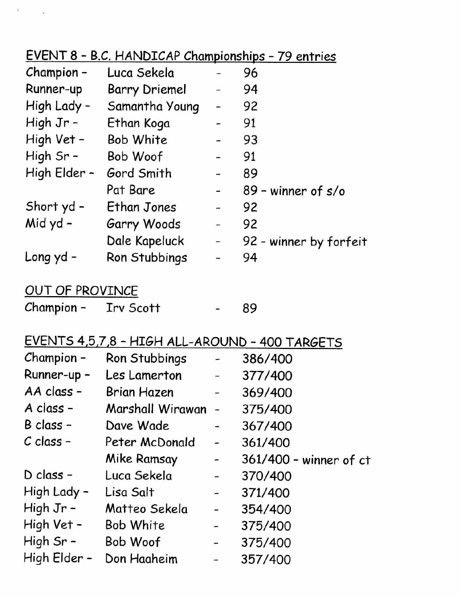|              | EVENT 8 - B.C. HANDICAP Championships - 79 entries |                        |                         |
|--------------|----------------------------------------------------|------------------------|-------------------------|
| Champion -   | Luca Sekela                                        |                        | 96                      |
| Runner-up    | <b>Barry Driemel</b>                               | $\qquad \qquad \qquad$ | 94                      |
| High Lady -  | Samantha Young                                     | Ŧ                      | 92                      |
| High Jr –    | Ethan Koga                                         |                        | 91                      |
| High Vet -   | Bob White                                          |                        | 93                      |
| High Sr-     | Bob Woof                                           |                        | 91                      |
| High Elder – | Gord Smith                                         | ¥                      | 89                      |
|              | Pat Bare                                           | ٠                      | $89$ - winner of $s$ /o |
| Short yd -   | Ethan Jones                                        | Ĩ.                     | 92                      |
| Mid yd -     | Garry Woods                                        | ÷                      | 92                      |
|              | Dale Kapeluck                                      | $\overline{a}$         | 92 - winner by forfeit  |
| Long yd -    | Ron Stubbings                                      | $\overline{a}$         | 94                      |
|              |                                                    |                        |                         |

#### OUT OF PROVINCE

 $\bar{\chi}$ 

 $\sim 100$ 

| Champion -<br>Irv Scott | 89 |
|-------------------------|----|
|-------------------------|----|

## EVENTS 4,5,7,8 - HIGH ALL-AROUND - 400 TARGETS

| Champion -   | Ron Stubbings    |                          | 386/400                |
|--------------|------------------|--------------------------|------------------------|
| Runner-up -  | Les Lamerton     | $\frac{1}{2}$            | 377/400                |
| AA class -   | Brian Hazen      | $\frac{1}{2}$            | 369/400                |
| A class -    | Marshall Wirawan | $\overline{a}$           | 375/400                |
| $B$ class -  | Dave Wade        | $\overline{\phantom{a}}$ | 367/400                |
| $C$ class -  | Peter McDonald   |                          | 361/400                |
|              | Mike Ramsay      | $\frac{1}{2}$            | 361/400 - winner of ct |
| $D$ class -  | Luca Sekela      | $\frac{1}{2}$            | 370/400                |
| High Lady -  | Lisa Salt        | $\blacksquare$           | 371/400                |
| High Jr -    | Matteo Sekela    |                          | 354/400                |
| High Vet -   | <b>Bob White</b> | $-1$                     | 375/400                |
| High Sr –    | Bob Woof         | $-$                      | 375/400                |
| High Elder - | Don Haaheim      |                          | 357/400                |